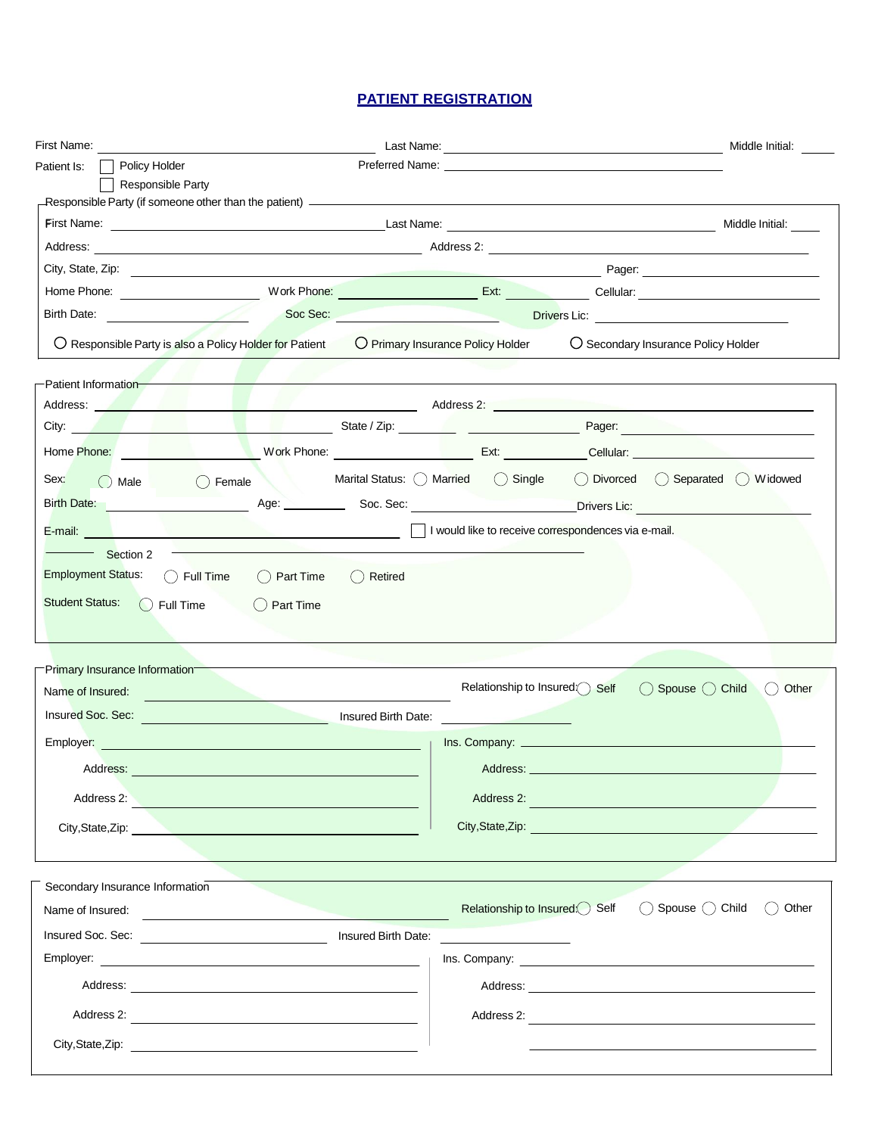### **PATIENT REGISTRATION**

| First Name: The Communication of the Communication of the Communication of the Communication of the Communication of the Communication of the Communication of the Communication of the Communication of the Communication of |                                                                                                                                                                                                                                      |                               | Middle Initial:                                                                                                                                                                                                                |
|-------------------------------------------------------------------------------------------------------------------------------------------------------------------------------------------------------------------------------|--------------------------------------------------------------------------------------------------------------------------------------------------------------------------------------------------------------------------------------|-------------------------------|--------------------------------------------------------------------------------------------------------------------------------------------------------------------------------------------------------------------------------|
| Policy Holder<br>Patient Is:                                                                                                                                                                                                  |                                                                                                                                                                                                                                      |                               |                                                                                                                                                                                                                                |
| <b>Responsible Party</b>                                                                                                                                                                                                      |                                                                                                                                                                                                                                      |                               |                                                                                                                                                                                                                                |
|                                                                                                                                                                                                                               |                                                                                                                                                                                                                                      |                               |                                                                                                                                                                                                                                |
|                                                                                                                                                                                                                               |                                                                                                                                                                                                                                      |                               | Middle Initial:                                                                                                                                                                                                                |
|                                                                                                                                                                                                                               |                                                                                                                                                                                                                                      |                               |                                                                                                                                                                                                                                |
|                                                                                                                                                                                                                               |                                                                                                                                                                                                                                      |                               |                                                                                                                                                                                                                                |
|                                                                                                                                                                                                                               |                                                                                                                                                                                                                                      |                               |                                                                                                                                                                                                                                |
|                                                                                                                                                                                                                               | $\bigcirc$ Responsible Party is also a Policy Holder for Patient $\bigcirc$ Primary Insurance Policy Holder                                                                                                                          |                               | ○ Secondary Insurance Policy Holder                                                                                                                                                                                            |
| Patient Information-                                                                                                                                                                                                          |                                                                                                                                                                                                                                      |                               |                                                                                                                                                                                                                                |
|                                                                                                                                                                                                                               |                                                                                                                                                                                                                                      |                               |                                                                                                                                                                                                                                |
|                                                                                                                                                                                                                               |                                                                                                                                                                                                                                      |                               | City: Pager: Pager: Pager: Pager: Pager: Pager: Pager: Pager: Pager: Pager: Pager: Pager: Pager: Pager: Pager: Pager: Pager: Pager: Pager: Pager: Pager: Pager: Pager: Pager: Pager: Pager: Pager: Pager: Pager: Pager: Pager: |
|                                                                                                                                                                                                                               |                                                                                                                                                                                                                                      |                               |                                                                                                                                                                                                                                |
| Sex:<br>$\bigcirc$ Male                                                                                                                                                                                                       | () Female                                                                                                                                                                                                                            |                               | Marital Status: O Married (C) Single (C) Divorced (C) Separated (C) Widowed                                                                                                                                                    |
|                                                                                                                                                                                                                               |                                                                                                                                                                                                                                      |                               | Birth Date: No. 2008. Age: 2008. Sec. Sec. 2008. Sec. 2008. Drivers Lic: 2008. Drivers Lic: 2008. Age: 2008. Sec. 2008. 2009. 2009. 2009. 2009. 2009. 2009. 2009. 2009. 2009. 2009. 2009. 2009. 2009. 2009. 2009. 2009. 2009.  |
|                                                                                                                                                                                                                               |                                                                                                                                                                                                                                      |                               |                                                                                                                                                                                                                                |
|                                                                                                                                                                                                                               | E-mail: <u>San Alberta Alberta Alberta Alberta Alberta Alberta Alberta Alberta Alberta Alberta Alberta Alberta Alberta Alberta Alberta Alberta Alberta Alberta Alberta Alberta Alberta Alberta Alberta Alberta Alberta Alberta A</u> |                               |                                                                                                                                                                                                                                |
| Section 2<br>() Full Time<br>$\bigcirc$ Full Time                                                                                                                                                                             | () Part Time<br>() Retired<br>$\bigcirc$ Part Time                                                                                                                                                                                   |                               |                                                                                                                                                                                                                                |
| <b>Employment Status:</b><br><b>Student Status:</b><br>-Primary Insurance Information-                                                                                                                                        |                                                                                                                                                                                                                                      |                               |                                                                                                                                                                                                                                |
|                                                                                                                                                                                                                               |                                                                                                                                                                                                                                      | Relationship to Insured Self  | () Spouse () Child                                                                                                                                                                                                             |
|                                                                                                                                                                                                                               | Insured Soc. Sec: <u>Contract of Contract of Contract of Contract of Contract of Contract of Contract of Contract of Contract of Contract of Contract of Contract of Contract of Contract of Contract of Contract of Contract of</u> |                               |                                                                                                                                                                                                                                |
|                                                                                                                                                                                                                               |                                                                                                                                                                                                                                      |                               |                                                                                                                                                                                                                                |
| Address:                                                                                                                                                                                                                      |                                                                                                                                                                                                                                      |                               | Address: North Address: North Address: North Address: North Address: North Address: North Address: North Address: North Address: North Address: North Address: North Address: North Address: North Address: North Address: Nor |
|                                                                                                                                                                                                                               |                                                                                                                                                                                                                                      |                               |                                                                                                                                                                                                                                |
|                                                                                                                                                                                                                               | Address 2:                                                                                                                                                                                                                           |                               | Address 2: <b>Address 2: Address 2: Address 2: Address 2: Address 2: Address 2: Address 2: Address 2: Address 2: Address 2: Address 2: Address 2: Address 2: Address 2: Address 2: Address 2: Ad</b>                           |
|                                                                                                                                                                                                                               | City, State, Zip: 2008. Engine State And State And State And State And State And State And State And State And State And State And State And State And State And State And State And State And State And State And State And S       |                               | City,State,Zip: 2008                                                                                                                                                                                                           |
|                                                                                                                                                                                                                               |                                                                                                                                                                                                                                      |                               |                                                                                                                                                                                                                                |
|                                                                                                                                                                                                                               |                                                                                                                                                                                                                                      | Relationship to Insured: Self | $\bigcirc$ Spouse $\bigcirc$ Child                                                                                                                                                                                             |
|                                                                                                                                                                                                                               | Insured Birth Date:                                                                                                                                                                                                                  |                               |                                                                                                                                                                                                                                |
|                                                                                                                                                                                                                               |                                                                                                                                                                                                                                      |                               |                                                                                                                                                                                                                                |
| Name of Insured:<br>Employer: Employer<br>Secondary Insurance Information<br>Name of Insured:<br>Insured Soc. Sec:                                                                                                            |                                                                                                                                                                                                                                      |                               | ( ) Other<br>() Other                                                                                                                                                                                                          |
|                                                                                                                                                                                                                               |                                                                                                                                                                                                                                      |                               |                                                                                                                                                                                                                                |
|                                                                                                                                                                                                                               |                                                                                                                                                                                                                                      |                               | Address 2:                                                                                                                                                                                                                     |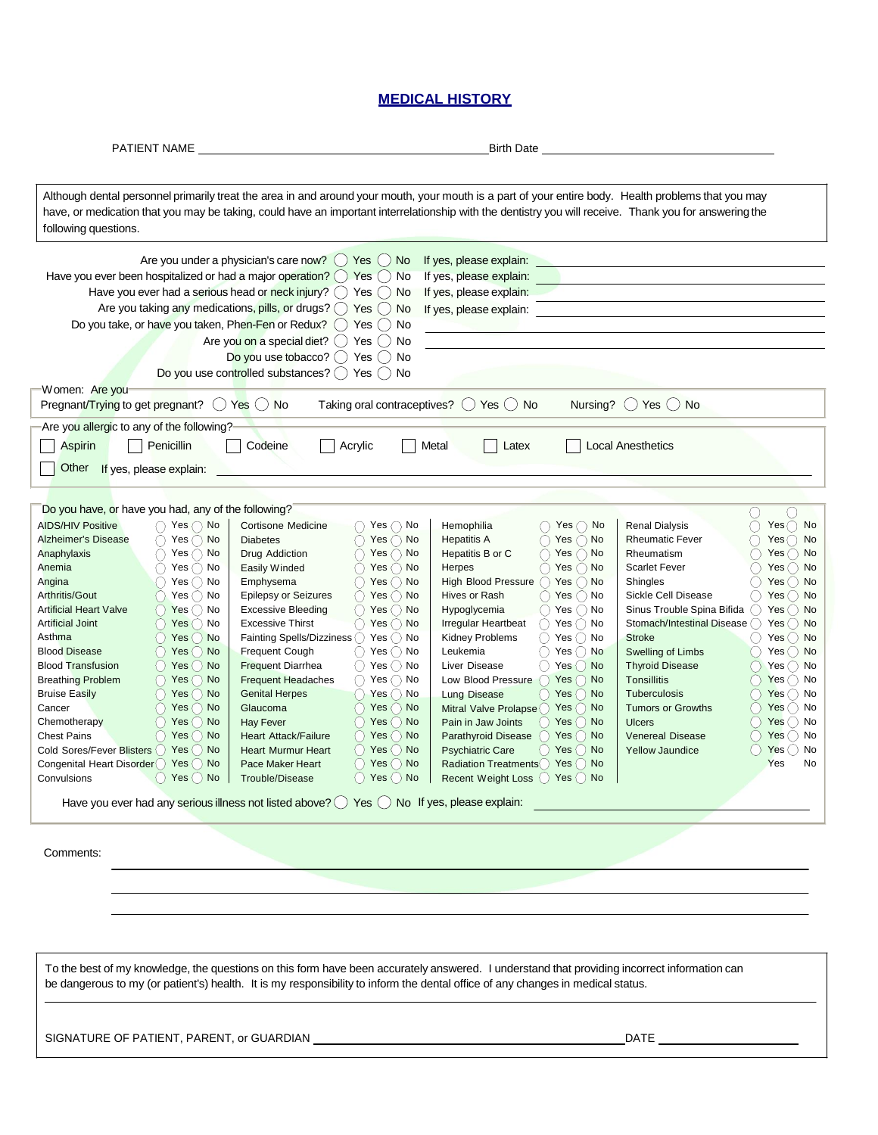#### **MEDICAL HISTORY**

| PATIENT NAME                                                                                                                                                                                                                                                                                                                                                                                                                                                                                                                                                                                                                                                                                                                                                                                                                              |                                                                                                                                                                                                                                                                                                                                                                                                                                                                                                                                                                                                                                                                                                                                                                                                                                                                                                                                                   | <b>Birth Date</b>                                                                                                                                                                                                                                                                                                                                                                                                                                                                                                                                                                                                                                                                                                                                                                                                                    |                                                                                                                                                                                                                                                                                                                                                                                                                                                                                                                                                                                                                                                                           |
|-------------------------------------------------------------------------------------------------------------------------------------------------------------------------------------------------------------------------------------------------------------------------------------------------------------------------------------------------------------------------------------------------------------------------------------------------------------------------------------------------------------------------------------------------------------------------------------------------------------------------------------------------------------------------------------------------------------------------------------------------------------------------------------------------------------------------------------------|---------------------------------------------------------------------------------------------------------------------------------------------------------------------------------------------------------------------------------------------------------------------------------------------------------------------------------------------------------------------------------------------------------------------------------------------------------------------------------------------------------------------------------------------------------------------------------------------------------------------------------------------------------------------------------------------------------------------------------------------------------------------------------------------------------------------------------------------------------------------------------------------------------------------------------------------------|--------------------------------------------------------------------------------------------------------------------------------------------------------------------------------------------------------------------------------------------------------------------------------------------------------------------------------------------------------------------------------------------------------------------------------------------------------------------------------------------------------------------------------------------------------------------------------------------------------------------------------------------------------------------------------------------------------------------------------------------------------------------------------------------------------------------------------------|---------------------------------------------------------------------------------------------------------------------------------------------------------------------------------------------------------------------------------------------------------------------------------------------------------------------------------------------------------------------------------------------------------------------------------------------------------------------------------------------------------------------------------------------------------------------------------------------------------------------------------------------------------------------------|
| following questions.                                                                                                                                                                                                                                                                                                                                                                                                                                                                                                                                                                                                                                                                                                                                                                                                                      | Although dental personnel primarily treat the area in and around your mouth, your mouth is a part of your entire body. Health problems that you may<br>have, or medication that you may be taking, could have an important interrelationship with the dentistry you will receive. Thank you for answering the                                                                                                                                                                                                                                                                                                                                                                                                                                                                                                                                                                                                                                     |                                                                                                                                                                                                                                                                                                                                                                                                                                                                                                                                                                                                                                                                                                                                                                                                                                      |                                                                                                                                                                                                                                                                                                                                                                                                                                                                                                                                                                                                                                                                           |
| Have you ever been hospitalized or had a major operation? $\bigcirc$ Yes $\bigcirc$ No<br>Women: Are you<br>Pregnant/Trying to get pregnant? $\bigcirc$ Yes $\bigcirc$ No                                                                                                                                                                                                                                                                                                                                                                                                                                                                                                                                                                                                                                                                 | Are you under a physician's care now? $\bigcirc$ Yes $\bigcirc$ No<br>Have you ever had a serious head or neck injury? $\bigcirc$ Yes $\bigcirc$ No<br>Are you taking any medications, pills, or drugs? $\bigcirc$ Yes $\bigcirc$ No<br>Do you take, or have you taken, Phen-Fen or Redux? () Yes () No<br>Are you on a special diet? $\bigcirc$ Yes $\bigcirc$<br>No<br>Do you use tobacco? $()$ Yes $()$ No<br>Do you use controlled substances? $\bigcirc$ Yes $\bigcirc$ No                                                                                                                                                                                                                                                                                                                                                                                                                                                                   | If yes, please explain:<br>If yes, please explain:<br>If yes, please explain:<br>If yes, please explain:<br>Taking oral contraceptives? $\bigcirc$ Yes $\bigcirc$ No                                                                                                                                                                                                                                                                                                                                                                                                                                                                                                                                                                                                                                                                 | Nursing? $()$ Yes $()$ No                                                                                                                                                                                                                                                                                                                                                                                                                                                                                                                                                                                                                                                 |
|                                                                                                                                                                                                                                                                                                                                                                                                                                                                                                                                                                                                                                                                                                                                                                                                                                           |                                                                                                                                                                                                                                                                                                                                                                                                                                                                                                                                                                                                                                                                                                                                                                                                                                                                                                                                                   |                                                                                                                                                                                                                                                                                                                                                                                                                                                                                                                                                                                                                                                                                                                                                                                                                                      |                                                                                                                                                                                                                                                                                                                                                                                                                                                                                                                                                                                                                                                                           |
| Are you allergic to any of the following?<br><b>Aspirin</b><br>Penicillin<br>Other If yes, please explain:                                                                                                                                                                                                                                                                                                                                                                                                                                                                                                                                                                                                                                                                                                                                | Codeine<br>Acrylic                                                                                                                                                                                                                                                                                                                                                                                                                                                                                                                                                                                                                                                                                                                                                                                                                                                                                                                                | Metal<br>Latex                                                                                                                                                                                                                                                                                                                                                                                                                                                                                                                                                                                                                                                                                                                                                                                                                       | <b>Local Anesthetics</b>                                                                                                                                                                                                                                                                                                                                                                                                                                                                                                                                                                                                                                                  |
| Do you have, or have you had, any of the following?<br><b>AIDS/HIV Positive</b><br>Yes $\bigcirc$ No<br>Yes $\bigcirc$ No<br><b>Alzheimer's Disease</b><br>Anaphylaxis<br>Yes $\bigcirc$ No<br>Yes() No<br>Anemia<br>Yes() No<br>Angina<br>Arthritis/Gout<br>Yes() No<br><b>Artificial Heart Valve</b><br>Yes() No<br><b>Artificial Joint</b><br>Yes()<br>No<br>Asthma<br>Yes $()$<br><b>No</b><br><b>Blood Disease</b><br>Yes $()$<br><b>No</b><br><b>Blood Transfusion</b><br>$()$ Yes $()$<br><b>No</b><br><b>Breathing Problem</b><br>Yes $()$<br><b>No</b><br><b>Bruise Easily</b><br>Yes $()$<br>No<br>Yes $()$<br>No<br>Cancer<br>Yes()<br>Chemotherapy<br>No<br>Yes()<br><b>Chest Pains</b><br><b>No</b><br>Cold Sores/Fever Blisters ()<br>Yes()<br><b>No</b><br>Congenital Heart Disorder () Yes ()<br><b>No</b><br>Convulsions | Cortisone Medicine<br>$()$ Yes $()$ No<br>$\bigcirc$ Yes $\bigcirc$ No<br><b>Diabetes</b><br>Drug Addiction<br>$\bigcirc$ Yes $\bigcirc$ No<br>Yes $\bigcirc$ No<br>Easily Winded<br>Emphysema<br>$Yes$ $\wedge$ No<br><b>Epilepsy or Seizures</b><br>( ) Yes ( ) No<br><b>Excessive Bleeding</b><br>() Yes () No<br><b>Excessive Thirst</b><br>() Yes () No<br>Fainting Spells/Dizziness ()<br>Yes() No<br><b>Frequent Cough</b><br>$()$ Yes $()$ No<br>$()$ Yes $()$ No<br><b>Frequent Diarrhea</b><br>$\bigcirc$ Yes $\bigcirc$ No<br><b>Frequent Headaches</b><br>$Yes \cap No$<br><b>Genital Herpes</b><br>Glaucoma<br>$Yes$ $No$<br><b>Hay Fever</b><br>Yes() No<br>Yes() No<br><b>Heart Attack/Failure</b><br><b>Heart Murmur Heart</b><br>Yes() No<br>Yes() No<br>Pace Maker Heart<br>Yes $\bigcirc$ No   Trouble/Disease<br>Have you ever had any serious illness not listed above? $\bigcirc$ Yes $\bigcirc$ No If yes, please explain: | Hemophilia<br>$Yes$ $\bigcirc$ No<br>$\bigcap$ Yes $\bigcirc$ No<br><b>Hepatitis A</b><br>Hepatitis B or C<br>$\bigcirc$ Yes $\bigcirc$ No<br>$\bigcirc$ Yes $\bigcirc$ No<br>Herpes<br>$\bigcap$ Yes $\bigcap$ No<br><b>High Blood Pressure</b><br>Hives or Rash<br>$()$ Yes $()$ No<br>Hypoglycemia<br>$()$ Yes $()$ No<br><b>Irregular Heartbeat</b><br>Yes() No<br>Kidney Problems<br>Yes() No<br>Leukemia<br>Yes() No<br>Liver Disease<br>() Yes () No<br>Yes $\bigcap$<br><b>No</b><br>Low Blood Pressure<br>Yes $( )$<br><b>No</b><br><b>Lung Disease</b><br>Mitral Valve Prolapse () Yes ()<br><b>No</b><br>Pain in Jaw Joints<br>Yes()<br><b>No</b><br>Parathyroid Disease<br>Yes()<br>No<br><b>Psychiatric Care</b><br>Yes $\bigcup$<br>No<br>Radiation Treatments () Yes ()<br><b>No</b><br>Recent Weight Loss O Yes O No | <b>Renal Dialysis</b><br>$Yes()$ No<br><b>Rheumatic Fever</b><br>Yes() No<br>Rheumatism<br>Yes() No<br><b>Scarlet Fever</b><br>Yes $()$<br>No<br>Shingles<br>Yes $()$<br>No<br>Sickle Cell Disease<br>Yes() No<br>Sinus Trouble Spina Bifida<br>Yes()<br>No<br>Stomach/Intestinal Disease<br>Yes()<br>No<br><b>Stroke</b><br>Yes()<br>No<br>Swelling of Limbs<br>Yes() No<br><b>Thyroid Disease</b><br>$Yes()$ No<br>Tonsillitis<br>Yes $( )$<br>No<br>Tuberculosis<br>Yes $()$<br>No<br><b>Tumors or Growths</b><br>Yes() No<br>Yes()<br>No<br><b>Ulcers</b><br>Yes $\bigcirc$<br><b>Venereal Disease</b><br>No<br><b>Yellow Jaundice</b><br>Yes $()$<br>No<br>Yes<br>No |
| Comments:                                                                                                                                                                                                                                                                                                                                                                                                                                                                                                                                                                                                                                                                                                                                                                                                                                 |                                                                                                                                                                                                                                                                                                                                                                                                                                                                                                                                                                                                                                                                                                                                                                                                                                                                                                                                                   |                                                                                                                                                                                                                                                                                                                                                                                                                                                                                                                                                                                                                                                                                                                                                                                                                                      |                                                                                                                                                                                                                                                                                                                                                                                                                                                                                                                                                                                                                                                                           |
|                                                                                                                                                                                                                                                                                                                                                                                                                                                                                                                                                                                                                                                                                                                                                                                                                                           | To the best of my knowledge, the questions on this form have been accurately answered. I understand that providing incorrect information can<br>be dangerous to my (or patient's) health. It is my responsibility to inform the dental office of any changes in medical status.                                                                                                                                                                                                                                                                                                                                                                                                                                                                                                                                                                                                                                                                   |                                                                                                                                                                                                                                                                                                                                                                                                                                                                                                                                                                                                                                                                                                                                                                                                                                      |                                                                                                                                                                                                                                                                                                                                                                                                                                                                                                                                                                                                                                                                           |
| SIGNATURE OF PATIENT, PARENT, or GUARDIAN                                                                                                                                                                                                                                                                                                                                                                                                                                                                                                                                                                                                                                                                                                                                                                                                 |                                                                                                                                                                                                                                                                                                                                                                                                                                                                                                                                                                                                                                                                                                                                                                                                                                                                                                                                                   |                                                                                                                                                                                                                                                                                                                                                                                                                                                                                                                                                                                                                                                                                                                                                                                                                                      | DATE                                                                                                                                                                                                                                                                                                                                                                                                                                                                                                                                                                                                                                                                      |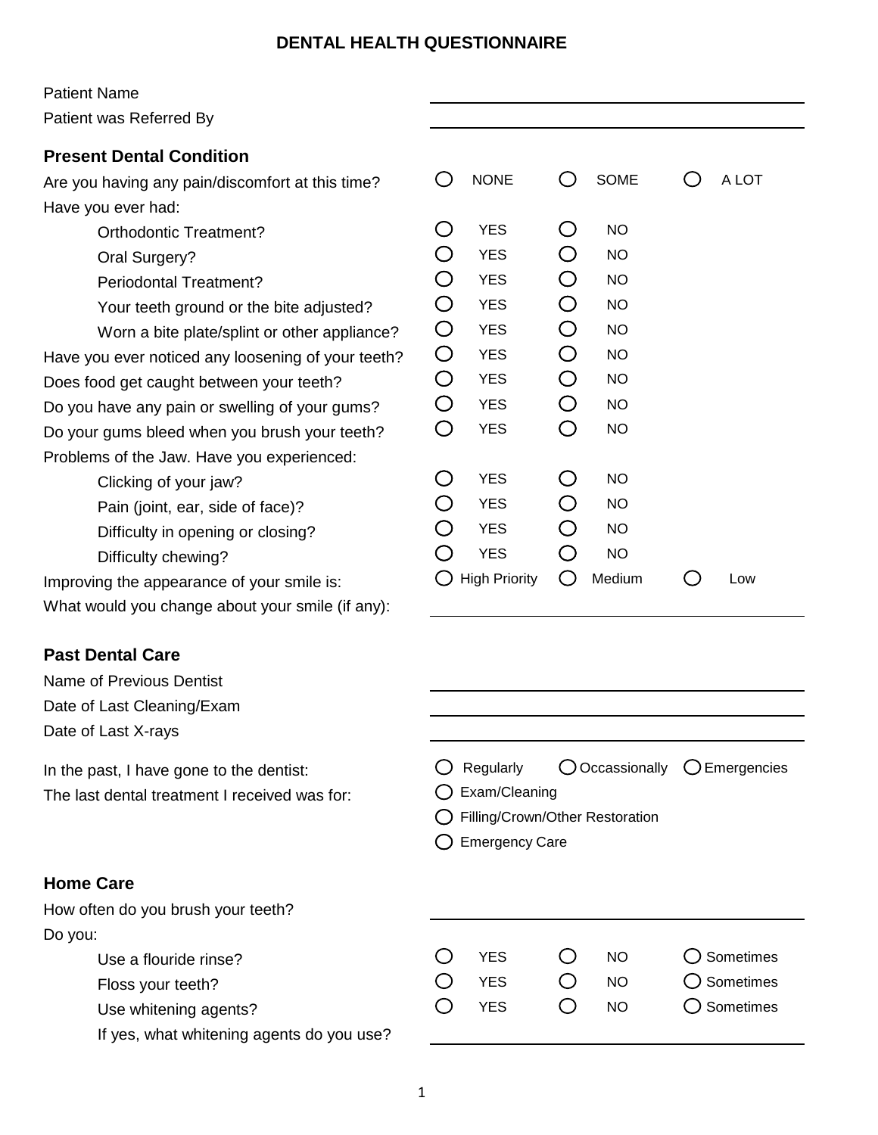### **DENTAL HEALTH QUESTIONNAIRE**

#### Patient Name

Patient was Referred By

## **Present Dental Condition**

Are you having any pain/discomfort at this time? Have you ever had:

Orthodontic Treatment?

- Oral Surgery?
- Periodontal Treatment?

Your teeth ground or the bite adjusted?

Worn a bite plate/splint or other appliance? Have you ever noticed any loosening of your teeth? Does food get caught between your teeth? Do you have any pain or swelling of your gums?

Do your gums bleed when you brush your teeth? Problems of the Jaw. Have you experienced:

> Clicking of your jaw? Pain (joint, ear, side of face)? Difficulty in opening or closing?

Difficulty chewing?

Improving the appearance of your smile is:

What would you change about your smile (if any):

# **Past Dental Care**

Name of Previous Dentist Date of Last Cleaning/Exam

Date of Last X-rays

In the past, I have gone to the dentist:

The last dental treatment I received was for:

### **Home Care**

How often do you brush your teeth? Do you:

- Use a flouride rinse?
- Floss your teeth?
- Use whitening agents?

If yes, what whitening agents do you use?

|             | <b>NONE</b>          | $\mathcal{C}$                                 | <b>SOME</b> |  | A LOT |  |
|-------------|----------------------|-----------------------------------------------|-------------|--|-------|--|
| $\mathbb C$ | <b>YES</b>           | $\left(\begin{array}{c} 1 \end{array}\right)$ | <b>NO</b>   |  |       |  |
| $\bigcirc$  | <b>YES</b>           | $\bigcirc$                                    | <b>NO</b>   |  |       |  |
| $\bigcirc$  | <b>YES</b>           | O                                             | <b>NO</b>   |  |       |  |
| $\bigcirc$  | <b>YES</b>           | $\bigcirc$                                    | <b>NO</b>   |  |       |  |
| $\bigcirc$  | <b>YES</b>           | $\bigcirc$                                    | <b>NO</b>   |  |       |  |
| $\bigcirc$  | <b>YES</b>           | $\bigcirc$                                    | <b>NO</b>   |  |       |  |
| $\bigcirc$  | <b>YES</b>           | $\bigcirc$                                    | <b>NO</b>   |  |       |  |
| $\bigcirc$  | <b>YES</b>           | $\bigcirc$                                    | <b>NO</b>   |  |       |  |
| O           | <b>YES</b>           | O                                             | <b>NO</b>   |  |       |  |
|             |                      |                                               |             |  |       |  |
| ر<br>پ      | <b>YES</b>           | Ĵ                                             | <b>NO</b>   |  |       |  |
| $\bigcirc$  | <b>YES</b>           | ⊃                                             | <b>NO</b>   |  |       |  |
| O           | <b>YES</b>           | ◯                                             | <b>NO</b>   |  |       |  |
| $\bigcap$   | <b>YES</b>           | ⊃                                             | <b>NO</b>   |  |       |  |
|             | <b>High Priority</b> | $\Box$                                        | Medium      |  | Low   |  |
|             |                      |                                               |             |  |       |  |

|                         | $\bigcirc$ Regularly $\bigcirc$ Occassionally $\bigcirc$ Emergencies |  |
|-------------------------|----------------------------------------------------------------------|--|
| $\bigcap$ Exam/Cleaning |                                                                      |  |
|                         | ◯ Filling/Crown/Other Restoration                                    |  |
| ◯ Emergency Care        |                                                                      |  |

| <b>YES</b> | NO. | $\bigcirc$ Sometimes |
|------------|-----|----------------------|
| <b>YES</b> | NO. | $\bigcirc$ Sometimes |
| <b>YES</b> | NO. | $\bigcirc$ Sometimes |
|            |     |                      |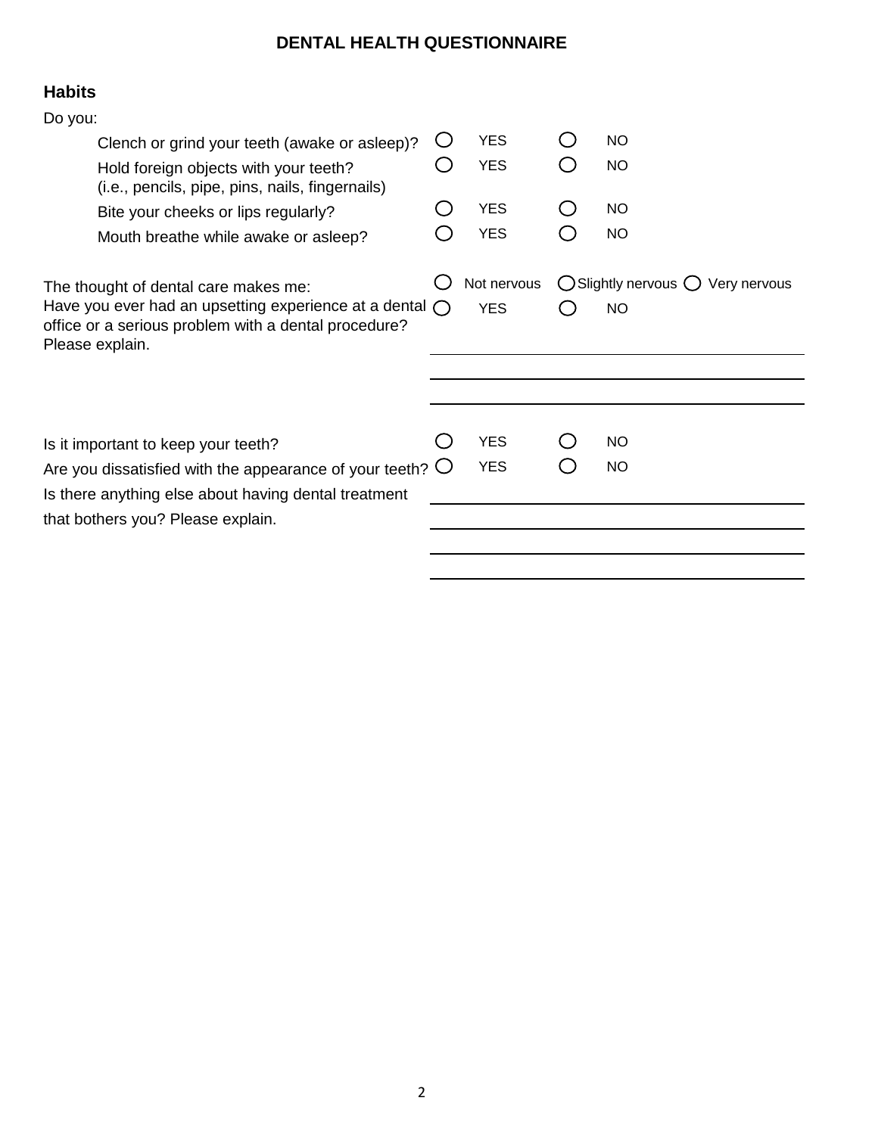# **DENTAL HEALTH QUESTIONNAIRE**

# **Habits**

| <b>YES</b>                                                                                                                            |                          | <b>NO</b>                                                        |
|---------------------------------------------------------------------------------------------------------------------------------------|--------------------------|------------------------------------------------------------------|
| <b>YES</b>                                                                                                                            |                          | <b>NO</b>                                                        |
| <b>YES</b>                                                                                                                            |                          | <b>NO</b>                                                        |
| <b>YES</b>                                                                                                                            |                          | <b>NO</b>                                                        |
| Not nervous<br><b>YES</b>                                                                                                             |                          | $\bigcirc$ Slightly nervous $\bigcirc$ Very nervous<br><b>NO</b> |
|                                                                                                                                       |                          |                                                                  |
|                                                                                                                                       |                          |                                                                  |
|                                                                                                                                       |                          | <b>NO</b>                                                        |
|                                                                                                                                       |                          | <b>NO</b>                                                        |
|                                                                                                                                       |                          |                                                                  |
| Have you ever had an upsetting experience at a dental $\bigcap$<br>Are you dissatisfied with the appearance of your teeth? $\bigcirc$ | <b>YES</b><br><b>YES</b> |                                                                  |